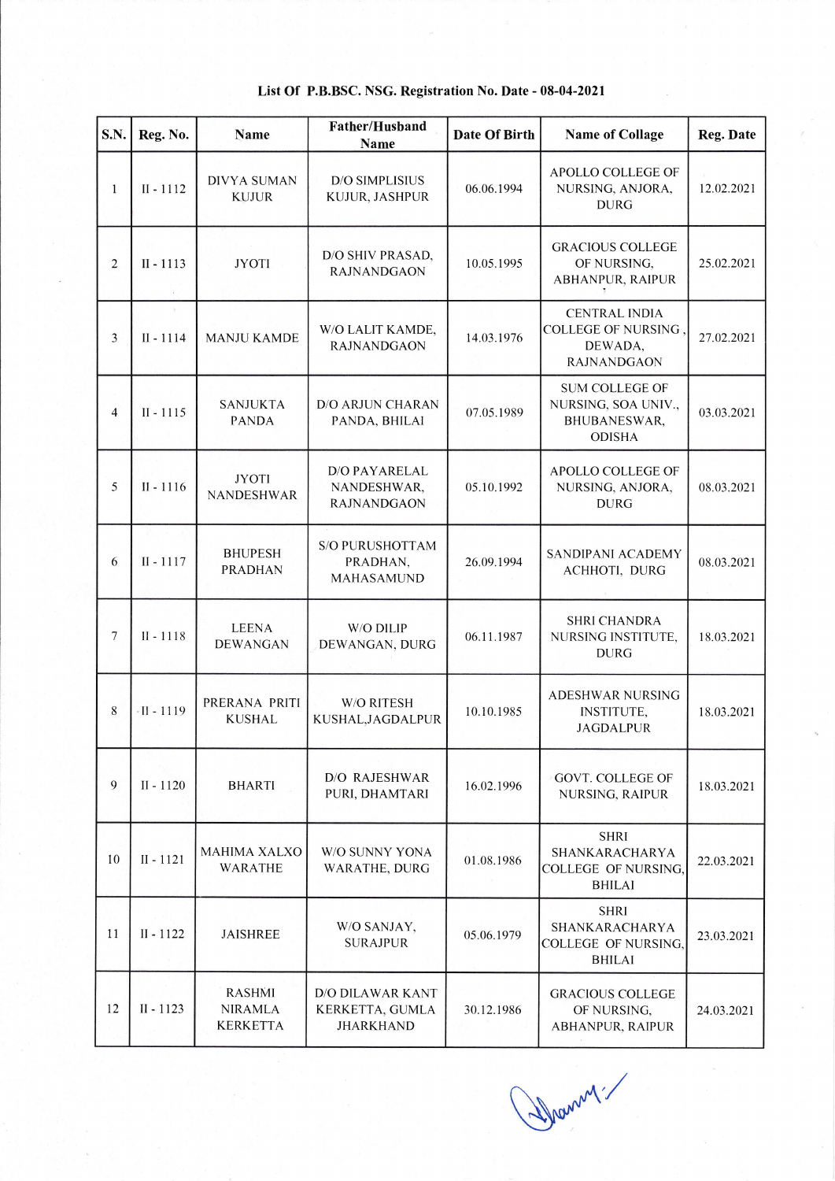| S.N.                     | Reg. No.                       | Name                                               | <b>Father/Husband</b><br>Name                                  | Date Of Birth | <b>Name of Collage</b>                                                              | <b>Reg. Date</b> |
|--------------------------|--------------------------------|----------------------------------------------------|----------------------------------------------------------------|---------------|-------------------------------------------------------------------------------------|------------------|
| 1                        | $II - 1112$                    | <b>DIVYA SUMAN</b><br><b>KUJUR</b>                 | <b>D/O SIMPLISIUS</b><br>KUJUR, JASHPUR                        | 06.06.1994    | APOLLO COLLEGE OF<br>NURSING, ANJORA,<br><b>DURG</b>                                | 12.02.2021       |
| $\overline{c}$           | $II - 1113$<br>$\mathcal{R}_1$ | <b>JYOTI</b>                                       | D/O SHIV PRASAD,<br><b>RAJNANDGAON</b>                         | 10.05.1995    | <b>GRACIOUS COLLEGE</b><br>OF NURSING,<br><b>ABHANPUR, RAIPUR</b>                   | 25.02.2021       |
| 3                        | $\lambda$<br>$II - 1114$       | <b>MANJU KAMDE</b>                                 | W/O LALIT KAMDE,<br><b>RAJNANDGAON</b>                         | 14.03.1976    | <b>CENTRAL INDIA</b><br><b>COLLEGE OF NURSING.</b><br>DEWADA,<br><b>RAJNANDGAON</b> | 27.02.2021       |
| 4                        | $II - 1115$                    | <b>SANJUKTA</b><br><b>PANDA</b>                    | D/O ARJUN CHARAN<br>PANDA, BHILAI                              | 07.05.1989    | <b>SUM COLLEGE OF</b><br>NURSING, SOA UNIV.,<br>BHUBANESWAR,<br><b>ODISHA</b>       | 03.03.2021       |
| 5                        | $II - 1116$                    | <b>JYOTI</b><br><b>NANDESHWAR</b>                  | <b>D/O PAYARELAL</b><br>NANDESHWAR,<br><b>RAJNANDGAON</b>      | 05.10.1992    | APOLLO COLLEGE OF<br>NURSING, ANJORA,<br><b>DURG</b>                                | 08.03.2021       |
| 6                        | $II - 1117$                    | <b>BHUPESH</b><br><b>PRADHAN</b>                   | <b>S/O PURUSHOTTAM</b><br>PRADHAN,<br><b>MAHASAMUND</b>        | 26.09.1994    | SANDIPANI ACADEMY<br>ACHHOTI, DURG                                                  | 08.03.2021       |
| $\overline{\phantom{a}}$ | $II - 1118$                    | <b>LEENA</b><br><b>DEWANGAN</b>                    | W/O DILIP<br>DEWANGAN, DURG                                    | 06.11.1987    | <b>SHRI CHANDRA</b><br>NURSING INSTITUTE,<br><b>DURG</b>                            | 18.03.2021       |
| 8                        | $\cdot$ II - 1119              | PRERANA PRITI<br><b>KUSHAL</b>                     | W/O RITESH<br>KUSHAL, JAGDALPUR                                | 10.10.1985    | <b>ADESHWAR NURSING</b><br><b>INSTITUTE,</b><br><b>JAGDALPUR</b>                    | 18.03.2021       |
| 9                        | $II - 1120$                    | <b>BHARTI</b>                                      | <b>D/O RAJESHWAR</b><br>PURI, DHAMTARI                         | 16.02.1996    | <b>GOVT. COLLEGE OF</b><br><b>NURSING, RAIPUR</b>                                   | 18.03.2021       |
| 10                       | $II - 1121$                    | <b>MAHIMA XALXO</b><br><b>WARATHE</b>              | W/O SUNNY YONA<br><b>WARATHE, DURG</b>                         | 01.08.1986    | <b>SHRI</b><br>SHANKARACHARYA<br><b>COLLEGE OF NURSING,</b><br><b>BHILAI</b>        | 22.03.2021       |
| 11                       | $II - 1122$                    | <b>JAISHREE</b>                                    | W/O SANJAY,<br><b>SURAJPUR</b>                                 | 05.06.1979    | <b>SHRI</b><br>SHANKARACHARYA<br><b>COLLEGE OF NURSING,</b><br><b>BHILAI</b>        | 23.03.2021       |
| 12                       | $II - 1123$                    | <b>RASHMI</b><br><b>NIRAMLA</b><br><b>KERKETTA</b> | <b>D/O DILAWAR KANT</b><br>KERKETTA, GUMLA<br><b>JHARKHAND</b> | 30.12.1986    | <b>GRACIOUS COLLEGE</b><br>OF NURSING,<br><b>ABHANPUR, RAIPUR</b>                   | 24.03.2021       |

## List Of P.B.BSC. NSG. Registration No. Date - 08-04 -2021

( Shawn !